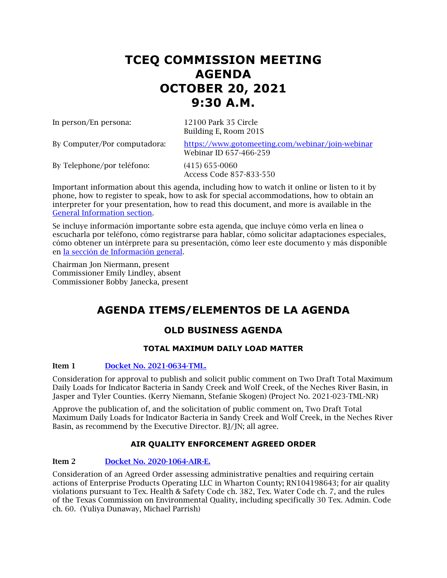## **TCEQ COMMISSION MEETING AGENDA OCTOBER 20, 2021 9:30 A.M.**

In person/En persona: 12100 Park 35 Circle

Building E, Room 201S

By Computer/Por computadora: <https://www.gotomeeting.com/webinar/join-webinar> Webinar ID 657-466-259

By Telephone/por teléfono: (415) 655-0060

Access Code 857-833-550

Important information about this agenda, including how to watch it online or listen to it by phone, how to register to speak, how to ask for special accommodations, how to obtain an interpreter for your presentation, how to read this document, and more is available in the [General Information section.](#page-12-0)

Se incluye información importante sobre esta agenda, que incluye cómo verla en línea o escucharla por teléfono, cómo registrarse para hablar, cómo solicitar adaptaciones especiales, cómo obtener un intérprete para su presentación, cómo leer este documento y más disponible en [la sección de Información general.](#page-12-0)

Chairman Jon Niermann, present Commissioner Emily Lindley, absent Commissioner Bobby Janecka, present

## **AGENDA ITEMS/ELEMENTOS DE LA AGENDA**

## **OLD BUSINESS AGENDA**

## **TOTAL MAXIMUM DAILY LOAD MATTER**

## Item 1 [Docket No. 2021-0634-TML.](http://www.tceq.texas.gov/assets/public/comm_exec/agendas/comm/backup/Agendas/2021/10-06-2021/0634TML.pdf)

Consideration for approval to publish and solicit public comment on Two Draft Total Maximum Daily Loads for Indicator Bacteria in Sandy Creek and Wolf Creek, of the Neches River Basin, in Jasper and Tyler Counties. (Kerry Niemann, Stefanie Skogen) (Project No. 2021-023-TML-NR)

Approve the publication of, and the solicitation of public comment on, Two Draft Total Maximum Daily Loads for Indicator Bacteria in Sandy Creek and Wolf Creek, in the Neches River Basin, as recommend by the Executive Director. BJ/JN; all agree.

## **AIR QUALITY ENFORCEMENT AGREED ORDER**

## Item 2 [Docket No. 2020-1064-AIR-E.](http://www.tceq.texas.gov/assets/public/comm_exec/agendas/comm/backup/Agendas/2021/10-06-2021/1064AIR.pdf)

Consideration of an Agreed Order assessing administrative penalties and requiring certain actions of Enterprise Products Operating LLC in Wharton County; RN104198643; for air quality violations pursuant to Tex. Health & Safety Code ch. 382, Tex. Water Code ch. 7, and the rules of the Texas Commission on Environmental Quality, including specifically 30 Tex. Admin. Code ch. 60. (Yuliya Dunaway, Michael Parrish)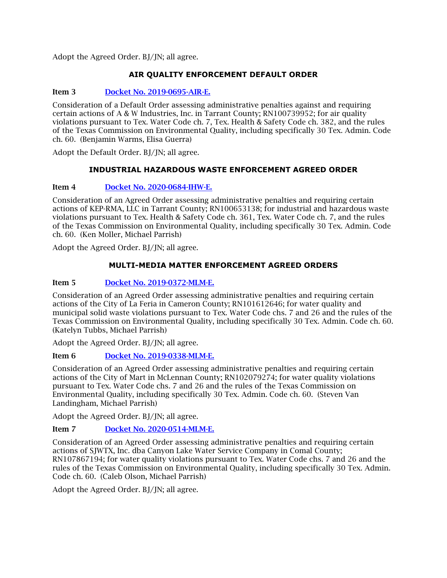## **AIR QUALITY ENFORCEMENT DEFAULT ORDER**

## Item 3 [Docket No. 2019-0695-AIR-E.](http://www.tceq.texas.gov/assets/public/comm_exec/agendas/comm/backup/Agendas/2021/10-06-2021/0695AIR.pdf)

Consideration of a Default Order assessing administrative penalties against and requiring certain actions of A & W Industries, Inc. in Tarrant County; RN100739952; for air quality violations pursuant to Tex. Water Code ch. 7, Tex. Health & Safety Code ch. 382, and the rules of the Texas Commission on Environmental Quality, including specifically 30 Tex. Admin. Code ch. 60. (Benjamin Warms, Elisa Guerra)

Adopt the Default Order. BJ/JN; all agree.

## **INDUSTRIAL HAZARDOUS WASTE ENFORCEMENT AGREED ORDER**

#### Item 4 [Docket No. 2020-0684-IHW-E.](http://www.tceq.texas.gov/assets/public/comm_exec/agendas/comm/backup/Agendas/2021/10-06-2021/0684IHW.pdf)

Consideration of an Agreed Order assessing administrative penalties and requiring certain actions of KEP-RMA, LLC in Tarrant County; RN100653138; for industrial and hazardous waste violations pursuant to Tex. Health & Safety Code ch. 361, Tex. Water Code ch. 7, and the rules of the Texas Commission on Environmental Quality, including specifically 30 Tex. Admin. Code ch. 60. (Ken Moller, Michael Parrish)

Adopt the Agreed Order. BJ/JN; all agree.

## **MULTI-MEDIA MATTER ENFORCEMENT AGREED ORDERS**

## Item 5 [Docket No. 2019-0372-MLM-E.](http://www.tceq.texas.gov/assets/public/comm_exec/agendas/comm/backup/Agendas/2021/10-06-2021/0372MLM.pdf)

Consideration of an Agreed Order assessing administrative penalties and requiring certain actions of the City of La Feria in Cameron County; RN101612646; for water quality and municipal solid waste violations pursuant to Tex. Water Code chs. 7 and 26 and the rules of the Texas Commission on Environmental Quality, including specifically 30 Tex. Admin. Code ch. 60. (Katelyn Tubbs, Michael Parrish)

Adopt the Agreed Order. BJ/JN; all agree.

## Item 6 [Docket No. 2019-0338-MLM-E.](http://www.tceq.texas.gov/assets/public/comm_exec/agendas/comm/backup/Agendas/2021/10-06-2021/0338MLM.pdf)

Consideration of an Agreed Order assessing administrative penalties and requiring certain actions of the City of Mart in McLennan County; RN102079274; for water quality violations pursuant to Tex. Water Code chs. 7 and 26 and the rules of the Texas Commission on Environmental Quality, including specifically 30 Tex. Admin. Code ch. 60. (Steven Van Landingham, Michael Parrish)

Adopt the Agreed Order. BJ/JN; all agree.

## Item 7 [Docket No. 2020-0514-MLM-E.](http://www.tceq.texas.gov/assets/public/comm_exec/agendas/comm/backup/Agendas/2021/10-06-2021/0514MLM.pdf)

Consideration of an Agreed Order assessing administrative penalties and requiring certain actions of SJWTX, Inc. dba Canyon Lake Water Service Company in Comal County; RN107867194; for water quality violations pursuant to Tex. Water Code chs. 7 and 26 and the rules of the Texas Commission on Environmental Quality, including specifically 30 Tex. Admin. Code ch. 60. (Caleb Olson, Michael Parrish)

Adopt the Agreed Order. BJ/JN; all agree.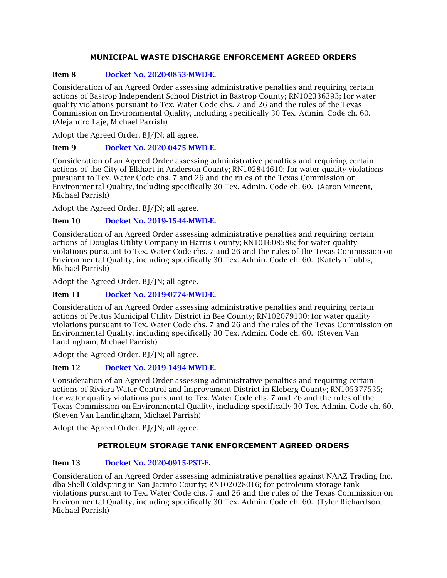## **MUNICIPAL WASTE DISCHARGE ENFORCEMENT AGREED ORDERS**

## Item 8 [Docket No. 2020-0853-MWD-E.](http://www.tceq.texas.gov/assets/public/comm_exec/agendas/comm/backup/Agendas/2021/10-06-2021/0853MWD.pdf)

Consideration of an Agreed Order assessing administrative penalties and requiring certain actions of Bastrop Independent School District in Bastrop County; RN102336393; for water quality violations pursuant to Tex. Water Code chs. 7 and 26 and the rules of the Texas Commission on Environmental Quality, including specifically 30 Tex. Admin. Code ch. 60. (Alejandro Laje, Michael Parrish)

Adopt the Agreed Order. BJ/JN; all agree.

## Item 9 [Docket No. 2020-0475-MWD-E.](http://www.tceq.texas.gov/assets/public/comm_exec/agendas/comm/backup/Agendas/2021/10-06-2021/0475MWD.pdf)

Consideration of an Agreed Order assessing administrative penalties and requiring certain actions of the City of Elkhart in Anderson County; RN102844610; for water quality violations pursuant to Tex. Water Code chs. 7 and 26 and the rules of the Texas Commission on Environmental Quality, including specifically 30 Tex. Admin. Code ch. 60. (Aaron Vincent, Michael Parrish)

Adopt the Agreed Order. BJ/JN; all agree.

## Item 10 [Docket No. 2019-1544-MWD-E.](http://www.tceq.texas.gov/assets/public/comm_exec/agendas/comm/backup/Agendas/2021/10-06-2021/1544MWD.pdf)

Consideration of an Agreed Order assessing administrative penalties and requiring certain actions of Douglas Utility Company in Harris County; RN101608586; for water quality violations pursuant to Tex. Water Code chs. 7 and 26 and the rules of the Texas Commission on Environmental Quality, including specifically 30 Tex. Admin. Code ch. 60. (Katelyn Tubbs, Michael Parrish)

Adopt the Agreed Order. BJ/JN; all agree.

## Item 11 [Docket No. 2019-0774-MWD-E.](http://www.tceq.texas.gov/assets/public/comm_exec/agendas/comm/backup/Agendas/2021/10-06-2021/0774MWD.pdf)

Consideration of an Agreed Order assessing administrative penalties and requiring certain actions of Pettus Municipal Utility District in Bee County; RN102079100; for water quality violations pursuant to Tex. Water Code chs. 7 and 26 and the rules of the Texas Commission on Environmental Quality, including specifically 30 Tex. Admin. Code ch. 60. (Steven Van Landingham, Michael Parrish)

Adopt the Agreed Order. BJ/JN; all agree.

## Item 12 [Docket No. 2019-1494-MWD-E.](http://www.tceq.texas.gov/assets/public/comm_exec/agendas/comm/backup/Agendas/2021/10-06-2021/1494MWD.pdf)

Consideration of an Agreed Order assessing administrative penalties and requiring certain actions of Riviera Water Control and Improvement District in Kleberg County; RN105377535; for water quality violations pursuant to Tex. Water Code chs. 7 and 26 and the rules of the Texas Commission on Environmental Quality, including specifically 30 Tex. Admin. Code ch. 60. (Steven Van Landingham, Michael Parrish)

Adopt the Agreed Order. BJ/JN; all agree.

## **PETROLEUM STORAGE TANK ENFORCEMENT AGREED ORDERS**

## Item 13 [Docket No. 2020-0915-PST-E.](http://www.tceq.texas.gov/assets/public/comm_exec/agendas/comm/backup/Agendas/2021/10-06-2021/0915PST.pdf)

Consideration of an Agreed Order assessing administrative penalties against NAAZ Trading Inc. dba Shell Coldspring in San Jacinto County; RN102028016; for petroleum storage tank violations pursuant to Tex. Water Code chs. 7 and 26 and the rules of the Texas Commission on Environmental Quality, including specifically 30 Tex. Admin. Code ch. 60. (Tyler Richardson, Michael Parrish)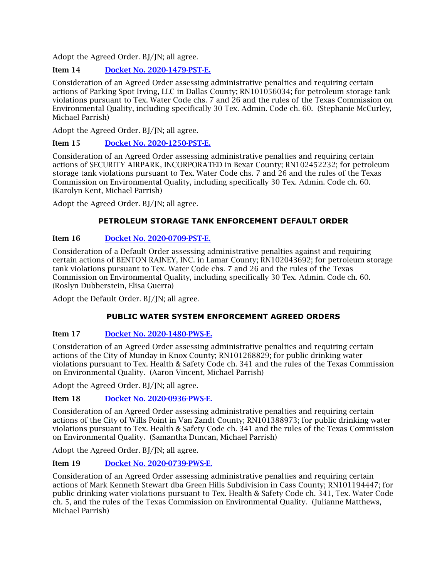## Item 14 [Docket No. 2020-1479-PST-E.](http://www.tceq.texas.gov/assets/public/comm_exec/agendas/comm/backup/Agendas/2021/10-06-2021/1479PST.pdf)

Consideration of an Agreed Order assessing administrative penalties and requiring certain actions of Parking Spot Irving, LLC in Dallas County; RN101056034; for petroleum storage tank violations pursuant to Tex. Water Code chs. 7 and 26 and the rules of the Texas Commission on Environmental Quality, including specifically 30 Tex. Admin. Code ch. 60. (Stephanie McCurley, Michael Parrish)

Adopt the Agreed Order. BJ/JN; all agree.

## Item 15 [Docket No. 2020-1250-PST-E.](http://www.tceq.texas.gov/assets/public/comm_exec/agendas/comm/backup/Agendas/2021/10-06-2021/1250PST.pdf)

Consideration of an Agreed Order assessing administrative penalties and requiring certain actions of SECURITY AIRPARK, INCORPORATED in Bexar County; RN102452232; for petroleum storage tank violations pursuant to Tex. Water Code chs. 7 and 26 and the rules of the Texas Commission on Environmental Quality, including specifically 30 Tex. Admin. Code ch. 60. (Karolyn Kent, Michael Parrish)

Adopt the Agreed Order. BJ/JN; all agree.

## **PETROLEUM STORAGE TANK ENFORCEMENT DEFAULT ORDER**

## Item 16 [Docket No. 2020-0709-PST-E.](http://www.tceq.texas.gov/assets/public/comm_exec/agendas/comm/backup/Agendas/2021/10-06-2021/0709PST.pdf)

Consideration of a Default Order assessing administrative penalties against and requiring certain actions of BENTON RAINEY, INC. in Lamar County; RN102043692; for petroleum storage tank violations pursuant to Tex. Water Code chs. 7 and 26 and the rules of the Texas Commission on Environmental Quality, including specifically 30 Tex. Admin. Code ch. 60. (Roslyn Dubberstein, Elisa Guerra)

Adopt the Default Order. BI/JN: all agree.

## **PUBLIC WATER SYSTEM ENFORCEMENT AGREED ORDERS**

## Item 17 [Docket No. 2020-1480-PWS-E.](http://www.tceq.texas.gov/assets/public/comm_exec/agendas/comm/backup/Agendas/2021/10-06-2021/1480PWS.pdf)

Consideration of an Agreed Order assessing administrative penalties and requiring certain actions of the City of Munday in Knox County; RN101268829; for public drinking water violations pursuant to Tex. Health & Safety Code ch. 341 and the rules of the Texas Commission on Environmental Quality. (Aaron Vincent, Michael Parrish)

Adopt the Agreed Order. BJ/JN; all agree.

## Item 18 Docket No. [2020-0936-PWS-E.](http://www.tceq.texas.gov/assets/public/comm_exec/agendas/comm/backup/Agendas/2021/10-06-2021/0936PWS.pdf)

Consideration of an Agreed Order assessing administrative penalties and requiring certain actions of the City of Wills Point in Van Zandt County; RN101388973; for public drinking water violations pursuant to Tex. Health & Safety Code ch. 341 and the rules of the Texas Commission on Environmental Quality. (Samantha Duncan, Michael Parrish)

Adopt the Agreed Order. BJ/JN; all agree.

## Item 19 [Docket No. 2020-0739-PWS-E.](http://www.tceq.texas.gov/assets/public/comm_exec/agendas/comm/backup/Agendas/2021/10-06-2021/0739PWS.pdf)

Consideration of an Agreed Order assessing administrative penalties and requiring certain actions of Mark Kenneth Stewart dba Green Hills Subdivision in Cass County; RN101194447; for public drinking water violations pursuant to Tex. Health & Safety Code ch. 341, Tex. Water Code ch. 5, and the rules of the Texas Commission on Environmental Quality. (Julianne Matthews, Michael Parrish)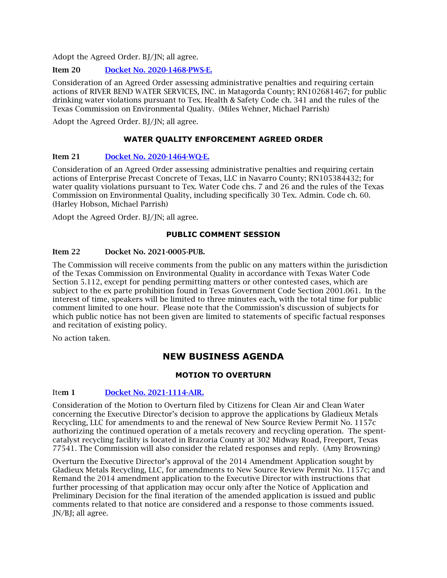#### Item 20 [Docket No. 2020-1468-PWS-E.](http://www.tceq.texas.gov/assets/public/comm_exec/agendas/comm/backup/Agendas/2021/10-06-2021/1468PWS.pdf)

Consideration of an Agreed Order assessing administrative penalties and requiring certain actions of RIVER BEND WATER SERVICES, INC. in Matagorda County; RN102681467; for public drinking water violations pursuant to Tex. Health & Safety Code ch. 341 and the rules of the Texas Commission on Environmental Quality. (Miles Wehner, Michael Parrish)

Adopt the Agreed Order. BJ/JN; all agree.

#### **WATER QUALITY ENFORCEMENT AGREED ORDER**

#### Item 21 [Docket No. 2020-1464-WQ-E.](http://www.tceq.texas.gov/assets/public/comm_exec/agendas/comm/backup/Agendas/2021/10-06-2021/1464WQ.pdf)

Consideration of an Agreed Order assessing administrative penalties and requiring certain actions of Enterprise Precast Concrete of Texas, LLC in Navarro County; RN105384432; for water quality violations pursuant to Tex. Water Code chs. 7 and 26 and the rules of the Texas Commission on Environmental Quality, including specifically 30 Tex. Admin. Code ch. 60. (Harley Hobson, Michael Parrish)

Adopt the Agreed Order. BJ/JN; all agree.

#### **PUBLIC COMMENT SESSION**

#### Item 22 Docket No. 2021-0005-PUB.

The Commission will receive comments from the public on any matters within the jurisdiction of the Texas Commission on Environmental Quality in accordance with Texas Water Code Section 5.112, except for pending permitting matters or other contested cases, which are subject to the ex parte prohibition found in Texas Government Code Section 2001.061. In the interest of time, speakers will be limited to three minutes each, with the total time for public comment limited to one hour. Please note that the Commission's discussion of subjects for which public notice has not been given are limited to statements of specific factual responses and recitation of existing policy.

No action taken.

## **NEW BUSINESS AGENDA**

#### **MOTION TO OVERTURN**

#### Item 1 [Docket No. 2021-1114-AIR.](http://www.tceq.texas.gov/assets/public/comm_exec/agendas/comm/backup/Agendas/2021/10-20-2021/gladieux.pdf)

Consideration of the Motion to Overturn filed by Citizens for Clean Air and Clean Water concerning the Executive Director's decision to approve the applications by Gladieux Metals Recycling, LLC for amendments to and the renewal of New Source Review Permit No. 1157c authorizing the continued operation of a metals recovery and recycling operation. The spentcatalyst recycling facility is located in Brazoria County at 302 Midway Road, Freeport, Texas 77541. The Commission will also consider the related responses and reply. (Amy Browning)

Overturn the Executive Director's approval of the 2014 Amendment Application sought by Gladieux Metals Recycling, LLC, for amendments to New Source Review Permit No. 1157c; and Remand the 2014 amendment application to the Executive Director with instructions that further processing of that application may occur only after the Notice of Application and Preliminary Decision for the final iteration of the amended application is issued and public comments related to that notice are considered and a response to those comments issued. JN/BJ; all agree.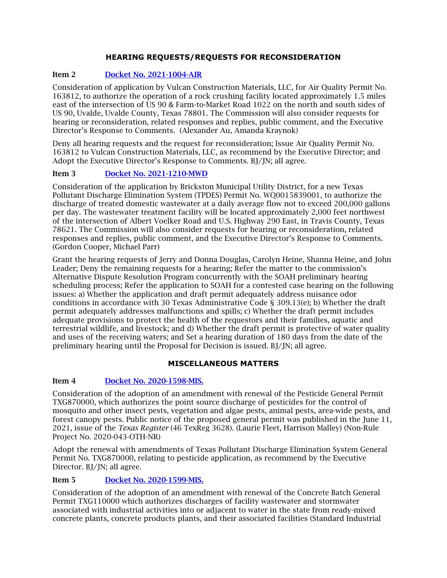## **HEARING REQUESTS/REQUESTS FOR RECONSIDERATION**

## Item 2 [Docket No. 2021-1004-AIR](http://www.tceq.texas.gov/assets/public/comm_exec/agendas/comm/backup/Agendas/2021/10-20-2021/vulcan.pdf)

Consideration of application by Vulcan Construction Materials, LLC, for Air Quality Permit No. 163812, to authorize the operation of a rock crushing facility located approximately 1.5 miles east of the intersection of US 90 & Farm-to-Market Road 1022 on the north and south sides of US 90, Uvalde, Uvalde County, Texas 78801. The Commission will also consider requests for hearing or reconsideration, related responses and replies, public comment, and the Executive Director's Response to Comments. (Alexander Au, Amanda Kraynok)

Deny all hearing requests and the request for reconsideration; Issue Air Quality Permit No. 163812 to Vulcan Construction Materials, LLC, as recommend by the Executive Director; and Adopt the Executive Director's Response to Comments. BJ/JN; all agree.

## Item 3 Docket No. [2021-1210-MWD](http://www.tceq.texas.gov/assets/public/comm_exec/agendas/comm/backup/Agendas/2021/10-20-2021/brickston.pdf)

Consideration of the application by Brickston Municipal Utility District, for a new Texas Pollutant Discharge Elimination System (TPDES) Permit No. WQ0015839001, to authorize the discharge of treated domestic wastewater at a daily average flow not to exceed 200,000 gallons per day. The wastewater treatment facility will be located approximately 2,000 feet northwest of the intersection of Albert Voelker Road and U.S. Highway 290 East, in Travis County, Texas 78621. The Commission will also consider requests for hearing or reconsideration, related responses and replies, public comment, and the Executive Director's Response to Comments. (Gordon Cooper, Michael Parr)

Grant the hearing requests of Jerry and Donna Douglas, Carolyn Heine, Shanna Heine, and John Leader; Deny the remaining requests for a hearing; Refer the matter to the commission's Alternative Dispute Resolution Program concurrently with the SOAH preliminary hearing scheduling process; Refer the application to SOAH for a contested case hearing on the following issues: a) Whether the application and draft permit adequately address nuisance odor conditions in accordance with 30 Texas Administrative Code § 309.13(e); b) Whether the draft permit adequately addresses malfunctions and spills; c) Whether the draft permit includes adequate provisions to protect the health of the requestors and their families, aquatic and terrestrial wildlife, and livestock; and d) Whether the draft permit is protective of water quality and uses of the receiving waters; and Set a hearing duration of 180 days from the date of the preliminary hearing until the Proposal for Decision is issued. BJ/JN; all agree.

#### **MISCELLANEOUS MATTERS**

## Item 4 [Docket No. 2020-1598-MIS.](http://www.tceq.texas.gov/assets/public/comm_exec/agendas/comm/backup/Agendas/2021/10-20-2021/1598MIS.pdf)

Consideration of the adoption of an amendment with renewal of the Pesticide General Permit TXG870000, which authorizes the point source discharge of pesticides for the control of mosquito and other insect pests, vegetation and algae pests, animal pests, area-wide pests, and forest canopy pests. Public notice of the proposed general permit was published in the June 11, 2021, issue of the *Texas Register* (46 TexReg 3628). (Laurie Fleet, Harrison Malley) (Non-Rule Project No. 2020-043-OTH-NR)

Adopt the renewal with amendments of Texas Pollutant Discharge Elimination System General Permit No. TXG870000, relating to pesticide application, as recommend by the Executive Director. BJ/JN; all agree.

## Item 5 [Docket No. 2020-1599-MIS.](http://www.tceq.texas.gov/assets/public/comm_exec/agendas/comm/backup/Agendas/2021/10-20-2021/1599MIS.pdf)

Consideration of the adoption of an amendment with renewal of the Concrete Batch General Permit TXG110000 which authorizes discharges of facility wastewater and stormwater associated with industrial activities into or adjacent to water in the state from ready-mixed concrete plants, concrete products plants, and their associated facilities (Standard Industrial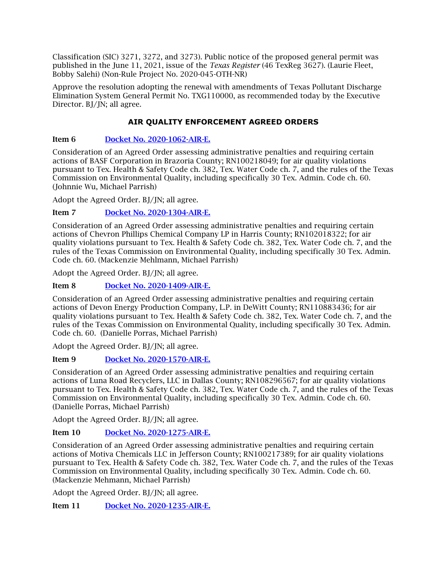Classification (SIC) 3271, 3272, and 3273). Public notice of the proposed general permit was published in the June 11, 2021, issue of the *Texas Register* (46 TexReg 3627). (Laurie Fleet, Bobby Salehi) (Non-Rule Project No. 2020-045-OTH-NR)

Approve the resolution adopting the renewal with amendments of Texas Pollutant Discharge Elimination System General Permit No. TXG110000, as recommended today by the Executive Director. BJ/JN; all agree.

## **AIR QUALITY ENFORCEMENT AGREED ORDERS**

## Item 6 [Docket No. 2020-1062-AIR-E.](http://www.tceq.texas.gov/assets/public/comm_exec/agendas/comm/backup/Agendas/2021/10-20-2021/1062AIR.pdf)

Consideration of an Agreed Order assessing administrative penalties and requiring certain actions of BASF Corporation in Brazoria County; RN100218049; for air quality violations pursuant to Tex. Health & Safety Code ch. 382, Tex. Water Code ch. 7, and the rules of the Texas Commission on Environmental Quality, including specifically 30 Tex. Admin. Code ch. 60. (Johnnie Wu, Michael Parrish)

Adopt the Agreed Order. BJ/JN; all agree.

## Item 7 [Docket No. 2020-1304-AIR-E.](http://www.tceq.texas.gov/assets/public/comm_exec/agendas/comm/backup/Agendas/2021/10-20-2021/1304AIR.pdf)

Consideration of an Agreed Order assessing administrative penalties and requiring certain actions of Chevron Phillips Chemical Company LP in Harris County; RN102018322; for air quality violations pursuant to Tex. Health & Safety Code ch. 382, Tex. Water Code ch. 7, and the rules of the Texas Commission on Environmental Quality, including specifically 30 Tex. Admin. Code ch. 60. (Mackenzie Mehlmann, Michael Parrish)

Adopt the Agreed Order. BJ/JN; all agree.

Item 8 [Docket No. 2020-1409-AIR-E.](http://www.tceq.texas.gov/assets/public/comm_exec/agendas/comm/backup/Agendas/2021/10-20-2021/1409AIR.pdf)

Consideration of an Agreed Order assessing administrative penalties and requiring certain actions of Devon Energy Production Company, L.P. in DeWitt County; RN110883436; for air quality violations pursuant to Tex. Health & Safety Code ch. 382, Tex. Water Code ch. 7, and the rules of the Texas Commission on Environmental Quality, including specifically 30 Tex. Admin. Code ch. 60. (Danielle Porras, Michael Parrish)

Adopt the Agreed Order. BJ/JN; all agree.

## Item 9 [Docket No. 2020-1570-AIR-E.](http://www.tceq.texas.gov/assets/public/comm_exec/agendas/comm/backup/Agendas/2021/10-20-2021/1570AIR.pdf)

Consideration of an Agreed Order assessing administrative penalties and requiring certain actions of Luna Road Recyclers, LLC in Dallas County; RN108296567; for air quality violations pursuant to Tex. Health & Safety Code ch. 382, Tex. Water Code ch. 7, and the rules of the Texas Commission on Environmental Quality, including specifically 30 Tex. Admin. Code ch. 60. (Danielle Porras, Michael Parrish)

Adopt the Agreed Order. BJ/JN; all agree.

## Item 10 [Docket No. 2020-1275-AIR-E.](http://www.tceq.texas.gov/assets/public/comm_exec/agendas/comm/backup/Agendas/2021/10-20-2021/1275AIR.pdf)

Consideration of an Agreed Order assessing administrative penalties and requiring certain actions of Motiva Chemicals LLC in Jefferson County; RN100217389; for air quality violations pursuant to Tex. Health & Safety Code ch. 382, Tex. Water Code ch. 7, and the rules of the Texas Commission on Environmental Quality, including specifically 30 Tex. Admin. Code ch. 60. (Mackenzie Mehmann, Michael Parrish)

Adopt the Agreed Order. BJ/JN; all agree.

Item 11 [Docket No. 2020-1235-AIR-E.](http://www.tceq.texas.gov/assets/public/comm_exec/agendas/comm/backup/Agendas/2021/10-20-2021/1235AIR.pdf)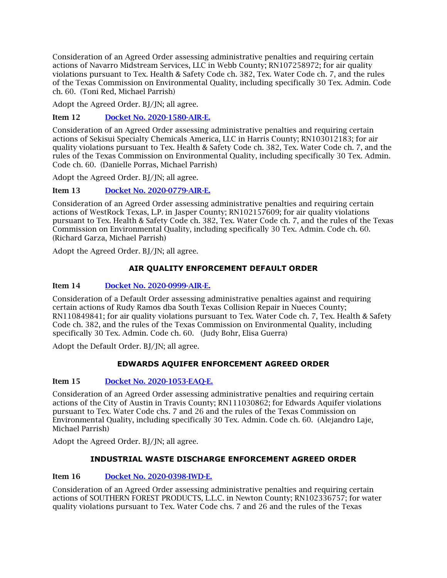Consideration of an Agreed Order assessing administrative penalties and requiring certain actions of Navarro Midstream Services, LLC in Webb County; RN107258972; for air quality violations pursuant to Tex. Health & Safety Code ch. 382, Tex. Water Code ch. 7, and the rules of the Texas Commission on Environmental Quality, including specifically 30 Tex. Admin. Code ch. 60. (Toni Red, Michael Parrish)

Adopt the Agreed Order. BJ/JN; all agree.

Item 12 [Docket No. 2020-1580-AIR-E.](http://www.tceq.texas.gov/assets/public/comm_exec/agendas/comm/backup/Agendas/2021/10-20-2021/1580AIR.pdf)

Consideration of an Agreed Order assessing administrative penalties and requiring certain actions of Sekisui Specialty Chemicals America, LLC in Harris County; RN103012183; for air quality violations pursuant to Tex. Health & Safety Code ch. 382, Tex. Water Code ch. 7, and the rules of the Texas Commission on Environmental Quality, including specifically 30 Tex. Admin. Code ch. 60. (Danielle Porras, Michael Parrish)

Adopt the Agreed Order. BJ/JN; all agree.

Item 13 [Docket No. 2020-0779-AIR-E.](http://www.tceq.texas.gov/assets/public/comm_exec/agendas/comm/backup/Agendas/2021/10-20-2021/0779AIR.pdf)

Consideration of an Agreed Order assessing administrative penalties and requiring certain actions of WestRock Texas, L.P. in Jasper County; RN102157609; for air quality violations pursuant to Tex. Health & Safety Code ch. 382, Tex. Water Code ch. 7, and the rules of the Texas Commission on Environmental Quality, including specifically 30 Tex. Admin. Code ch. 60. (Richard Garza, Michael Parrish)

Adopt the Agreed Order. BJ/JN; all agree.

## **AIR QUALITY ENFORCEMENT DEFAULT ORDER**

#### Item 14 [Docket No. 2020-0999-AIR-E.](http://www.tceq.texas.gov/assets/public/comm_exec/agendas/comm/backup/Agendas/2021/10-20-2021/0999AIR.pdf)

Consideration of a Default Order assessing administrative penalties against and requiring certain actions of Rudy Ramos dba South Texas Collision Repair in Nueces County; RN110849841; for air quality violations pursuant to Tex. Water Code ch. 7, Tex. Health & Safety Code ch. 382, and the rules of the Texas Commission on Environmental Quality, including specifically 30 Tex. Admin. Code ch. 60. (Judy Bohr, Elisa Guerra)

Adopt the Default Order. BJ/JN; all agree.

## **EDWARDS AQUIFER ENFORCEMENT AGREED ORDER**

## Item 15 [Docket No. 2020-1053-EAQ-E.](http://www.tceq.texas.gov/assets/public/comm_exec/agendas/comm/backup/Agendas/2021/10-20-2021/1053EAQ.pdf)

Consideration of an Agreed Order assessing administrative penalties and requiring certain actions of the City of Austin in Travis County; RN111030862; for Edwards Aquifer violations pursuant to Tex. Water Code chs. 7 and 26 and the rules of the Texas Commission on Environmental Quality, including specifically 30 Tex. Admin. Code ch. 60. (Alejandro Laje, Michael Parrish)

Adopt the Agreed Order. BJ/JN; all agree.

## **INDUSTRIAL WASTE DISCHARGE ENFORCEMENT AGREED ORDER**

#### Item 16 [Docket No. 2020-0398-IWD-E.](http://www.tceq.texas.gov/assets/public/comm_exec/agendas/comm/backup/Agendas/2021/10-20-2021/0398IWD.pdf)

Consideration of an Agreed Order assessing administrative penalties and requiring certain actions of SOUTHERN FOREST PRODUCTS, L.L.C. in Newton County; RN102336757; for water quality violations pursuant to Tex. Water Code chs. 7 and 26 and the rules of the Texas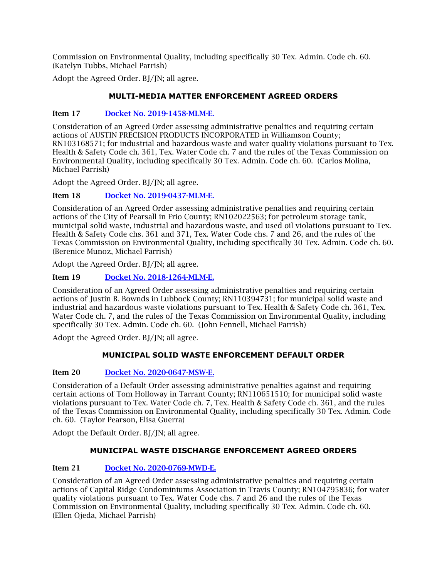Commission on Environmental Quality, including specifically 30 Tex. Admin. Code ch. 60. (Katelyn Tubbs, Michael Parrish)

Adopt the Agreed Order. BJ/JN; all agree.

## **MULTI-MEDIA MATTER ENFORCEMENT AGREED ORDERS**

#### Item 17 [Docket No. 2019-1458-MLM-E.](http://www.tceq.texas.gov/assets/public/comm_exec/agendas/comm/backup/Agendas/2021/10-20-2021/1458MLM.pdf)

Consideration of an Agreed Order assessing administrative penalties and requiring certain actions of AUSTIN PRECISION PRODUCTS INCORPORATED in Williamson County; RN103168571; for industrial and hazardous waste and water quality violations pursuant to Tex. Health & Safety Code ch. 361, Tex. Water Code ch. 7 and the rules of the Texas Commission on Environmental Quality, including specifically 30 Tex. Admin. Code ch. 60. (Carlos Molina, Michael Parrish)

Adopt the Agreed Order. BJ/JN; all agree.

## Item 18 [Docket No. 2019-0437-MLM-E.](http://www.tceq.texas.gov/assets/public/comm_exec/agendas/comm/backup/Agendas/2021/10-20-2021/0437MLM.pdf)

Consideration of an Agreed Order assessing administrative penalties and requiring certain actions of the City of Pearsall in Frio County; RN102022563; for petroleum storage tank, municipal solid waste, industrial and hazardous waste, and used oil violations pursuant to Tex. Health & Safety Code chs. 361 and 371, Tex. Water Code chs. 7 and 26, and the rules of the Texas Commission on Environmental Quality, including specifically 30 Tex. Admin. Code ch. 60. (Berenice Munoz, Michael Parrish)

Adopt the Agreed Order. BJ/JN; all agree.

#### Item 19 [Docket No. 2018-1264-MLM-E.](http://www.tceq.texas.gov/assets/public/comm_exec/agendas/comm/backup/Agendas/2021/10-20-2021/1264MLM.pdf)

Consideration of an Agreed Order assessing administrative penalties and requiring certain actions of Justin B. Bownds in Lubbock County; RN110394731; for municipal solid waste and industrial and hazardous waste violations pursuant to Tex. Health & Safety Code ch. 361, Tex. Water Code ch. 7, and the rules of the Texas Commission on Environmental Quality, including specifically 30 Tex. Admin. Code ch. 60. (John Fennell, Michael Parrish)

Adopt the Agreed Order. BJ/JN; all agree.

## **MUNICIPAL SOLID WASTE ENFORCEMENT DEFAULT ORDER**

## Item 20 [Docket No. 2020-0647-MSW-E.](http://www.tceq.texas.gov/assets/public/comm_exec/agendas/comm/backup/Agendas/2021/10-20-2021/0647MSW.pdf)

Consideration of a Default Order assessing administrative penalties against and requiring certain actions of Tom Holloway in Tarrant County; RN110651510; for municipal solid waste violations pursuant to Tex. Water Code ch. 7, Tex. Health & Safety Code ch. 361, and the rules of the Texas Commission on Environmental Quality, including specifically 30 Tex. Admin. Code ch. 60. (Taylor Pearson, Elisa Guerra)

Adopt the Default Order. BJ/JN; all agree.

#### **MUNICIPAL WASTE DISCHARGE ENFORCEMENT AGREED ORDERS**

## Item 21 [Docket No. 2020-0769-MWD-E.](http://www.tceq.texas.gov/assets/public/comm_exec/agendas/comm/backup/Agendas/2021/10-20-2021/0769MWD.pdf)

Consideration of an Agreed Order assessing administrative penalties and requiring certain actions of Capital Ridge Condominiums Association in Travis County; RN104795836; for water quality violations pursuant to Tex. Water Code chs. 7 and 26 and the rules of the Texas Commission on Environmental Quality, including specifically 30 Tex. Admin. Code ch. 60. (Ellen Ojeda, Michael Parrish)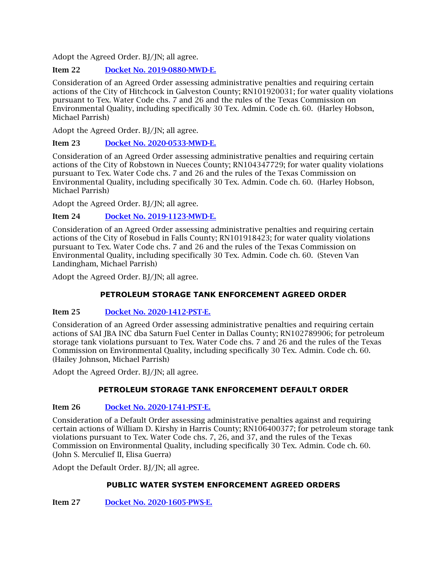## Item 22 [Docket No. 2019-0880-MWD-E.](http://www.tceq.texas.gov/assets/public/comm_exec/agendas/comm/backup/Agendas/2021/10-20-2021/0880MWD.pdf)

Consideration of an Agreed Order assessing administrative penalties and requiring certain actions of the City of Hitchcock in Galveston County; RN101920031; for water quality violations pursuant to Tex. Water Code chs. 7 and 26 and the rules of the Texas Commission on Environmental Quality, including specifically 30 Tex. Admin. Code ch. 60. (Harley Hobson, Michael Parrish)

Adopt the Agreed Order. BJ/JN; all agree.

## Item 23 [Docket No. 2020-0533-MWD-E.](http://www.tceq.texas.gov/assets/public/comm_exec/agendas/comm/backup/Agendas/2021/10-20-2021/0533MWD.pdf)

Consideration of an Agreed Order assessing administrative penalties and requiring certain actions of the City of Robstown in Nueces County; RN104347729; for water quality violations pursuant to Tex. Water Code chs. 7 and 26 and the rules of the Texas Commission on Environmental Quality, including specifically 30 Tex. Admin. Code ch. 60. (Harley Hobson, Michael Parrish)

Adopt the Agreed Order. BJ/JN; all agree.

## Item 24 [Docket No. 2019-1123-MWD-E.](http://www.tceq.texas.gov/assets/public/comm_exec/agendas/comm/backup/Agendas/2021/10-20-2021/1123MWD.pdf)

Consideration of an Agreed Order assessing administrative penalties and requiring certain actions of the City of Rosebud in Falls County; RN101918423; for water quality violations pursuant to Tex. Water Code chs. 7 and 26 and the rules of the Texas Commission on Environmental Quality, including specifically 30 Tex. Admin. Code ch. 60. (Steven Van Landingham, Michael Parrish)

Adopt the Agreed Order. BJ/JN; all agree.

## **PETROLEUM STORAGE TANK ENFORCEMENT AGREED ORDER**

## Item 25 [Docket No. 2020-1412-PST-E.](http://www.tceq.texas.gov/assets/public/comm_exec/agendas/comm/backup/Agendas/2021/10-20-2021/1412PST.pdf)

Consideration of an Agreed Order assessing administrative penalties and requiring certain actions of SAI JBA INC dba Saturn Fuel Center in Dallas County; RN102789906; for petroleum storage tank violations pursuant to Tex. Water Code chs. 7 and 26 and the rules of the Texas Commission on Environmental Quality, including specifically 30 Tex. Admin. Code ch. 60. (Hailey Johnson, Michael Parrish)

Adopt the Agreed Order. BJ/JN; all agree.

## **PETROLEUM STORAGE TANK ENFORCEMENT DEFAULT ORDER**

## Item 26 [Docket No. 2020-1741-PST-E.](http://www.tceq.texas.gov/assets/public/comm_exec/agendas/comm/backup/Agendas/2021/10-20-2021/1741PST.pdf)

Consideration of a Default Order assessing administrative penalties against and requiring certain actions of William D. Kirshy in Harris County; RN106400377; for petroleum storage tank violations pursuant to Tex. Water Code chs. 7, 26, and 37, and the rules of the Texas Commission on Environmental Quality, including specifically 30 Tex. Admin. Code ch. 60. (John S. Merculief II, Elisa Guerra)

Adopt the Default Order. BJ/JN; all agree.

## **PUBLIC WATER SYSTEM ENFORCEMENT AGREED ORDERS**

Item 27 [Docket No. 2020-1605-PWS-E.](http://www.tceq.texas.gov/assets/public/comm_exec/agendas/comm/backup/Agendas/2021/10-20-2021/1605PWS.pdf)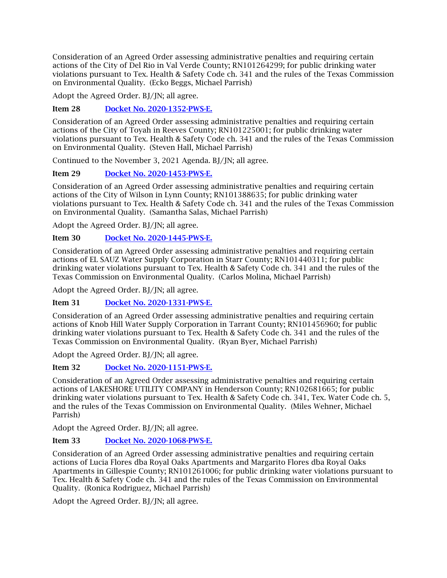Consideration of an Agreed Order assessing administrative penalties and requiring certain actions of the City of Del Rio in Val Verde County; RN101264299; for public drinking water violations pursuant to Tex. Health & Safety Code ch. 341 and the rules of the Texas Commission on Environmental Quality. (Ecko Beggs, Michael Parrish)

Adopt the Agreed Order. BJ/JN; all agree.

## Item 28 [Docket No. 2020-1352-PWS-E.](http://www.tceq.texas.gov/assets/public/comm_exec/agendas/comm/backup/Agendas/2021/10-20-2021/1352PWS.pdf)

Consideration of an Agreed Order assessing administrative penalties and requiring certain actions of the City of Toyah in Reeves County; RN101225001; for public drinking water violations pursuant to Tex. Health & Safety Code ch. 341 and the rules of the Texas Commission on Environmental Quality. (Steven Hall, Michael Parrish)

Continued to the November 3, 2021 Agenda. BJ/JN; all agree.

## Item 29 [Docket No. 2020-1453-PWS-E.](http://www.tceq.texas.gov/assets/public/comm_exec/agendas/comm/backup/Agendas/2021/10-20-2021/1453PWS.pdf)

Consideration of an Agreed Order assessing administrative penalties and requiring certain actions of the City of Wilson in Lynn County; RN101388635; for public drinking water violations pursuant to Tex. Health & Safety Code ch. 341 and the rules of the Texas Commission on Environmental Quality. (Samantha Salas, Michael Parrish)

Adopt the Agreed Order. BJ/JN; all agree.

## Item 30 [Docket No. 2020-1445-PWS-E.](http://www.tceq.texas.gov/assets/public/comm_exec/agendas/comm/backup/Agendas/2021/10-20-2021/1445PWS.pdf)

Consideration of an Agreed Order assessing administrative penalties and requiring certain actions of EL SAUZ Water Supply Corporation in Starr County; RN101440311; for public drinking water violations pursuant to Tex. Health & Safety Code ch. 341 and the rules of the Texas Commission on Environmental Quality. (Carlos Molina, Michael Parrish)

Adopt the Agreed Order. BJ/JN; all agree.

## Item 31 [Docket No. 2020-1331-PWS-E.](http://www.tceq.texas.gov/assets/public/comm_exec/agendas/comm/backup/Agendas/2021/10-20-2021/1331PWS.pdf)

Consideration of an Agreed Order assessing administrative penalties and requiring certain actions of Knob Hill Water Supply Corporation in Tarrant County; RN101456960; for public drinking water violations pursuant to Tex. Health & Safety Code ch. 341 and the rules of the Texas Commission on Environmental Quality. (Ryan Byer, Michael Parrish)

Adopt the Agreed Order. BJ/JN; all agree.

## Item 32 [Docket No. 2020-1151-PWS-E.](http://www.tceq.texas.gov/assets/public/comm_exec/agendas/comm/backup/Agendas/2021/10-20-2021/1151PWS.pdf)

Consideration of an Agreed Order assessing administrative penalties and requiring certain actions of LAKESHORE UTILITY COMPANY in Henderson County; RN102681665; for public drinking water violations pursuant to Tex. Health & Safety Code ch. 341, Tex. Water Code ch. 5, and the rules of the Texas Commission on Environmental Quality. (Miles Wehner, Michael Parrish)

Adopt the Agreed Order. BJ/JN; all agree.

## Item 33 [Docket No. 2020-1068-PWS-E.](http://www.tceq.texas.gov/assets/public/comm_exec/agendas/comm/backup/Agendas/2021/10-20-2021/1068PWS.pdf)

Consideration of an Agreed Order assessing administrative penalties and requiring certain actions of Lucia Flores dba Royal Oaks Apartments and Margarito Flores dba Royal Oaks Apartments in Gillespie County; RN101261006; for public drinking water violations pursuant to Tex. Health & Safety Code ch. 341 and the rules of the Texas Commission on Environmental Quality. (Ronica Rodriguez, Michael Parrish)

Adopt the Agreed Order. BJ/JN; all agree.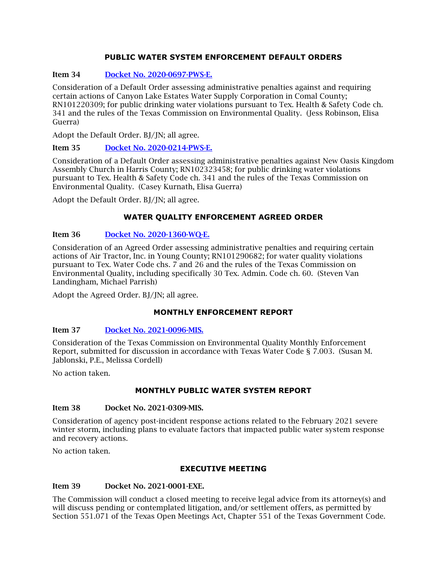#### **PUBLIC WATER SYSTEM ENFORCEMENT DEFAULT ORDERS**

#### Item 34 [Docket No. 2020-0697-PWS-E.](http://www.tceq.texas.gov/assets/public/comm_exec/agendas/comm/backup/Agendas/2021/10-20-2021/0697PWS.pdf)

Consideration of a Default Order assessing administrative penalties against and requiring certain actions of Canyon Lake Estates Water Supply Corporation in Comal County; RN101220309; for public drinking water violations pursuant to Tex. Health & Safety Code ch. 341 and the rules of the Texas Commission on Environmental Quality. (Jess Robinson, Elisa Guerra)

Adopt the Default Order. BJ/JN; all agree.

#### Item 35 [Docket No. 2020-0214-PWS-E.](http://www.tceq.texas.gov/assets/public/comm_exec/agendas/comm/backup/Agendas/2021/10-20-2021/0214PWS.pdf)

Consideration of a Default Order assessing administrative penalties against New Oasis Kingdom Assembly Church in Harris County; RN102323458; for public drinking water violations pursuant to Tex. Health & Safety Code ch. 341 and the rules of the Texas Commission on Environmental Quality. (Casey Kurnath, Elisa Guerra)

Adopt the Default Order. BJ/JN; all agree.

#### **WATER QUALITY ENFORCEMENT AGREED ORDER**

#### Item 36 [Docket No. 2020-1360-WQ-E.](http://www.tceq.texas.gov/assets/public/comm_exec/agendas/comm/backup/Agendas/2021/10-20-2021/1360WQ.pdf)

Consideration of an Agreed Order assessing administrative penalties and requiring certain actions of Air Tractor, Inc. in Young County; RN101290682; for water quality violations pursuant to Tex. Water Code chs. 7 and 26 and the rules of the Texas Commission on Environmental Quality, including specifically 30 Tex. Admin. Code ch. 60. (Steven Van Landingham, Michael Parrish)

Adopt the Agreed Order. BJ/JN; all agree.

#### **MONTHLY ENFORCEMENT REPORT**

#### Item 37 [Docket No. 2021-0096-MIS.](http://www.tceq.texas.gov/assets/public/comm_exec/agendas/comm/backup/Agendas/2021/10-20-2021/0096MIS.pdf)

Consideration of the Texas Commission on Environmental Quality Monthly Enforcement Report, submitted for discussion in accordance with Texas Water Code § 7.003. (Susan M. Jablonski, P.E., Melissa Cordell)

No action taken.

## **MONTHLY PUBLIC WATER SYSTEM REPORT**

#### Item 38 Docket No. 2021-0309-MIS.

Consideration of agency post-incident response actions related to the February 2021 severe winter storm, including plans to evaluate factors that impacted public water system response and recovery actions.

No action taken.

#### **EXECUTIVE MEETING**

#### Item 39 Docket No. 2021-0001-EXE.

The Commission will conduct a closed meeting to receive legal advice from its attorney(s) and will discuss pending or contemplated litigation, and/or settlement offers, as permitted by Section 551.071 of the Texas Open Meetings Act, Chapter 551 of the Texas Government Code.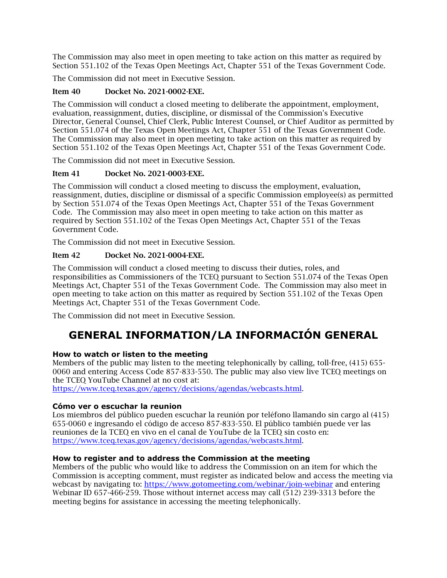The Commission may also meet in open meeting to take action on this matter as required by Section 551.102 of the Texas Open Meetings Act, Chapter 551 of the Texas Government Code.

The Commission did not meet in Executive Session.

## Item 40 Docket No. 2021-0002-EXE.

The Commission will conduct a closed meeting to deliberate the appointment, employment, evaluation, reassignment, duties, discipline, or dismissal of the Commission's Executive Director, General Counsel, Chief Clerk, Public Interest Counsel, or Chief Auditor as permitted by Section 551.074 of the Texas Open Meetings Act, Chapter 551 of the Texas Government Code. The Commission may also meet in open meeting to take action on this matter as required by Section 551.102 of the Texas Open Meetings Act, Chapter 551 of the Texas Government Code.

The Commission did not meet in Executive Session.

## Item 41 Docket No. 2021-0003-EXE.

The Commission will conduct a closed meeting to discuss the employment, evaluation, reassignment, duties, discipline or dismissal of a specific Commission employee(s) as permitted by Section 551.074 of the Texas Open Meetings Act, Chapter 551 of the Texas Government Code. The Commission may also meet in open meeting to take action on this matter as required by Section 551.102 of the Texas Open Meetings Act, Chapter 551 of the Texas Government Code.

The Commission did not meet in Executive Session.

## Item 42 Docket No. 2021-0004-EXE.

The Commission will conduct a closed meeting to discuss their duties, roles, and responsibilities as Commissioners of the TCEQ pursuant to Section 551.074 of the Texas Open Meetings Act, Chapter 551 of the Texas Government Code. The Commission may also meet in open meeting to take action on this matter as required by Section 551.102 of the Texas Open Meetings Act, Chapter 551 of the Texas Government Code.

<span id="page-12-0"></span>The Commission did not meet in Executive Session.

# **GENERAL INFORMATION/LA INFORMACIÓN GENERAL**

## **How to watch or listen to the meeting**

Members of the public may listen to the meeting telephonically by calling, toll-free, (415) 655- 0060 and entering Access Code 857-833-550. The public may also view live TCEQ meetings on the TCEQ YouTube Channel at no cost at:

[https://www.tceq.texas.gov/agency/decisions/agendas/webcasts.html.](https://www.tceq.texas.gov/agency/decisions/agendas/webcasts.html)

## **Cómo ver o escuchar la reunion**

Los miembros del público pueden escuchar la reunión por teléfono llamando sin cargo al (415) 655-0060 e ingresando el código de acceso 857-833-550. El público también puede ver las reuniones de la TCEQ en vivo en el canal de YouTube de la TCEQ sin costo en: [https://www.tceq.texas.gov/agency/decisions/agendas/webcasts.html.](https://www.tceq.texas.gov/agency/decisions/agendas/webcasts.html)

## **How to register and to address the Commission at the meeting**

Members of the public who would like to address the Commission on an item for which the Commission is accepting comment, must register as indicated below and access the meeting via webcast by navigating to:<https://www.gotomeeting.com/webinar/join-webinar> and entering Webinar ID 657-466-259. Those without internet access may call (512) 239-3313 before the meeting begins for assistance in accessing the meeting telephonically.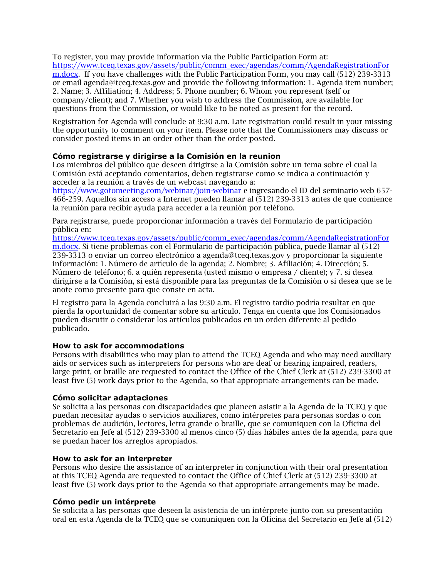To register, you may provide information via the Public Participation Form at: [https://www.tceq.texas.gov/assets/public/comm\\_exec/agendas/comm/AgendaRegistrationFor](https://www.tceq.texas.gov/assets/public/comm_exec/agendas/comm/AgendaRegistrationForm.docx) [m.docx.](https://www.tceq.texas.gov/assets/public/comm_exec/agendas/comm/AgendaRegistrationForm.docx) If you have challenges with the Public Participation Form, you may call (512) 239-3313 or email agenda@tceq.texas.gov and provide the following information: 1. Agenda item number; 2. Name; 3. Affiliation; 4. Address; 5. Phone number; 6. Whom you represent (self or company/client); and 7. Whether you wish to address the Commission, are available for questions from the Commission, or would like to be noted as present for the record.

Registration for Agenda will conclude at 9:30 a.m. Late registration could result in your missing the opportunity to comment on your item. Please note that the Commissioners may discuss or consider posted items in an order other than the order posted.

#### **Cómo registrarse y dirigirse a la Comisión en la reunion**

Los miembros del público que deseen dirigirse a la Comisión sobre un tema sobre el cual la Comisión está aceptando comentarios, deben registrarse como se indica a continuación y acceder a la reunión a través de un webcast navegando a:

<https://www.gotomeeting.com/webinar/join-webinar> e ingresando el ID del seminario web 657- 466-259. Aquellos sin acceso a Internet pueden llamar al (512) 239-3313 antes de que comience la reunión para recibir ayuda para acceder a la reunión por teléfono.

Para registrarse, puede proporcionar información a través del Formulario de participación pública en:

[https://www.tceq.texas.gov/assets/public/comm\\_exec/agendas/comm/AgendaRegistrationFor](https://www.tceq.texas.gov/assets/public/comm_exec/agendas/comm/AgendaRegistrationForm.docx) [m.docx.](https://www.tceq.texas.gov/assets/public/comm_exec/agendas/comm/AgendaRegistrationForm.docx) Si tiene problemas con el Formulario de participación pública, puede llamar al (512) 239-3313 o enviar un correo electrónico a agenda@tceq.texas.gov y proporcionar la siguiente información: 1. Número de artículo de la agenda; 2. Nombre; 3. Afiliación; 4. Dirección; 5. Número de teléfono; 6. a quién representa (usted mismo o empresa / cliente); y 7. si desea dirigirse a la Comisión, si está disponible para las preguntas de la Comisión o si desea que se le anote como presente para que conste en acta.

El registro para la Agenda concluirá a las 9:30 a.m. El registro tardío podría resultar en que pierda la oportunidad de comentar sobre su artículo. Tenga en cuenta que los Comisionados pueden discutir o considerar los artículos publicados en un orden diferente al pedido publicado.

#### **How to ask for accommodations**

Persons with disabilities who may plan to attend the TCEQ Agenda and who may need auxiliary aids or services such as interpreters for persons who are deaf or hearing impaired, readers, large print, or braille are requested to contact the Office of the Chief Clerk at (512) 239-3300 at least five (5) work days prior to the Agenda, so that appropriate arrangements can be made.

#### **Cómo solicitar adaptaciones**

Se solicita a las personas con discapacidades que planeen asistir a la Agenda de la TCEQ y que puedan necesitar ayudas o servicios auxiliares, como intérpretes para personas sordas o con problemas de audición, lectores, letra grande o braille, que se comuniquen con la Oficina del Secretario en Jefe al (512) 239-3300 al menos cinco (5) días hábiles antes de la agenda, para que se puedan hacer los arreglos apropiados.

#### **How to ask for an interpreter**

Persons who desire the assistance of an interpreter in conjunction with their oral presentation at this TCEQ Agenda are requested to contact the Office of Chief Clerk at (512) 239-3300 at least five (5) work days prior to the Agenda so that appropriate arrangements may be made.

#### **Cómo pedir un intérprete**

Se solicita a las personas que deseen la asistencia de un intérprete junto con su presentación oral en esta Agenda de la TCEQ que se comuniquen con la Oficina del Secretario en Jefe al (512)